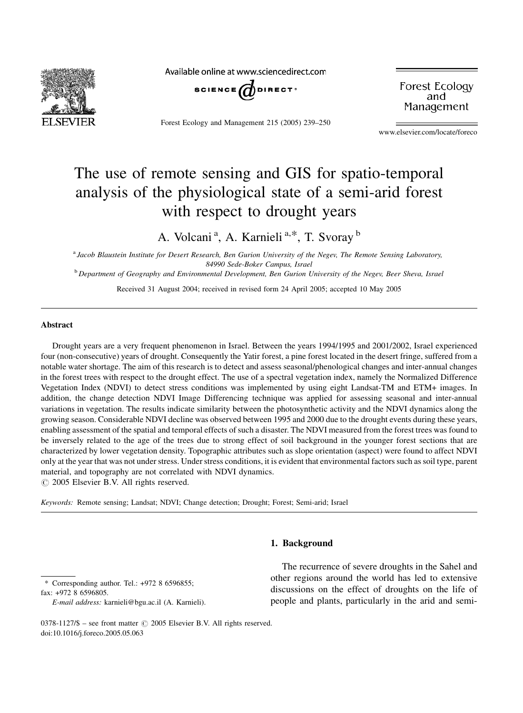

Available online at www.sciencedirect.com



Forest Ecology and Management 215 (2005) 239–250

**Forest Ecology** and Management

www.elsevier.com/locate/foreco

# The use of remote sensing and GIS for spatio-temporal analysis of the physiological state of a semi-arid forest with respect to drought years

A. Volcani<sup>a</sup>, A. Karnieli<sup>a,\*</sup>, T. Svoray<sup>b</sup>

a *Jacob Blaustein Institute for Desert Research, Ben Gurion University of the Negev, The Remote Sensing Laboratory, 84990 Sede-Boker Campus, Israel*

<sup>b</sup> *Department of Geography and Environmental Development, Ben Gurion University of the Negev, Beer Sheva, Israel*

Received 31 August 2004; received in revised form 24 April 2005; accepted 10 May 2005

# Abstract

Drought years are a very frequent phenomenon in Israel. Between the years 1994/1995 and 2001/2002, Israel experienced four (non-consecutive) years of drought. Consequently the Yatir forest, a pine forest located in the desert fringe, suffered from a notable water shortage. The aim of this research is to detect and assess seasonal/phenological changes and inter-annual changes in the forest trees with respect to the drought effect. The use of a spectral vegetation index, namely the Normalized Difference Vegetation Index (NDVI) to detect stress conditions was implemented by using eight Landsat-TM and ETM+ images. In addition, the change detection NDVI Image Differencing technique was applied for assessing seasonal and inter-annual variations in vegetation. The results indicate similarity between the photosynthetic activity and the NDVI dynamics along the growing season. Considerable NDVI decline was observed between 1995 and 2000 due to the drought events during these years, enabling assessment of the spatial and temporal effects of such a disaster. The NDVI measured from the forest trees was found to be inversely related to the age of the trees due to strong effect of soil background in the younger forest sections that are characterized by lower vegetation density. Topographic attributes such as slope orientation (aspect) were found to affect NDVI only at the year that was not under stress. Under stress conditions, it is evident that environmental factors such as soil type, parent material, and topography are not correlated with NDVI dynamics.

 $\odot$  2005 Elsevier B.V. All rights reserved.

*Keywords:* Remote sensing; Landsat; NDVI; Change detection; Drought; Forest; Semi-arid; Israel

# 1. Background

\* Corresponding author. Tel.: +972 8 6596855; fax: +972 8 6596805.

The recurrence of severe droughts in the Sahel and other regions around the world has led to extensive discussions on the effect of droughts on the life of people and plants, particularly in the arid and semi-

*E-mail address:* karnieli@bgu.ac.il (A. Karnieli).

<sup>0378-1127/\$ –</sup> see front matter © 2005 Elsevier B.V. All rights reserved. doi:10.1016/j.foreco.2005.05.063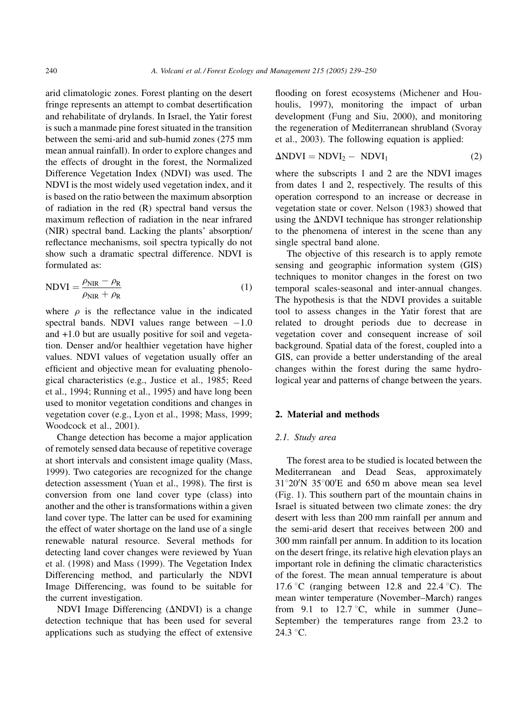arid climatologic zones. Forest planting on the desert fringe represents an attempt to combat desertification and rehabilitate of drylands. In Israel, the Yatir forest is such a manmade pine forest situated in the transition between the semi-arid and sub-humid zones (275 mm mean annual rainfall). In order to explore changes and the effects of drought in the forest, the Normalized Difference Vegetation Index (NDVI) was used. The NDVI is the most widely used vegetation index, and it is based on the ratio between the maximum absorption of radiation in the red (R) spectral band versus the maximum reflection of radiation in the near infrared (NIR) spectral band. Lacking the plants' absorption/ reflectance mechanisms, soil spectra typically do not show such a dramatic spectral difference. NDVI is formulated as:

$$
NDVI = \frac{\rho_{NIR} - \rho_R}{\rho_{NIR} + \rho_R}
$$
 (1)

where  $\rho$  is the reflectance value in the indicated spectral bands. NDVI values range between  $-1.0$ and +1.0 but are usually positive for soil and vegetation. Denser and/or healthier vegetation have higher values. NDVI values of vegetation usually offer an efficient and objective mean for evaluating phenological characteristics (e.g., Justice et al., 1985; Reed et al., 1994; Running et al., 1995) and have long been used to monitor vegetation conditions and changes in vegetation cover (e.g., Lyon et al., 1998; Mass, 1999; Woodcock et al., 2001).

Change detection has become a major application of remotely sensed data because of repetitive coverage at short intervals and consistent image quality (Mass, 1999). Two categories are recognized for the change detection assessment (Yuan et al., 1998). The first is conversion from one land cover type (class) into another and the other is transformations within a given land cover type. The latter can be used for examining the effect of water shortage on the land use of a single renewable natural resource. Several methods for detecting land cover changes were reviewed by Yuan et al. (1998) and Mass (1999). The Vegetation Index Differencing method, and particularly the NDVI Image Differencing, was found to be suitable for the current investigation.

NDVI Image Differencing  $(\Delta NDVI)$  is a change detection technique that has been used for several applications such as studying the effect of extensive flooding on forest ecosystems (Michener and Houhoulis, 1997), monitoring the impact of urban development (Fung and Siu, 2000), and monitoring the regeneration of Mediterranean shrubland (Svoray et al., 2003). The following equation is applied:

$$
\Delta \text{NDVI} = \text{NDVI}_2 - \text{NDVI}_1 \tag{2}
$$

where the subscripts 1 and 2 are the NDVI images from dates 1 and 2, respectively. The results of this operation correspond to an increase or decrease in vegetation state or cover. Nelson (1983) showed that using the  $\Delta$ NDVI technique has stronger relationship to the phenomena of interest in the scene than any single spectral band alone.

The objective of this research is to apply remote sensing and geographic information system (GIS) techniques to monitor changes in the forest on two temporal scales-seasonal and inter-annual changes. The hypothesis is that the NDVI provides a suitable tool to assess changes in the Yatir forest that are related to drought periods due to decrease in vegetation cover and consequent increase of soil background. Spatial data of the forest, coupled into a GIS, can provide a better understanding of the areal changes within the forest during the same hydrological year and patterns of change between the years.

# 2. Material and methods

# *2.1. Study area*

The forest area to be studied is located between the Mediterranean and Dead Seas, approximately  $31^{\circ}20'$ N  $35^{\circ}00'E$  and 650 m above mean sea level (Fig. 1). This southern part of the mountain chains in Israel is situated between two climate zones: the dry desert with less than 200 mm rainfall per annum and the semi-arid desert that receives between 200 and 300 mm rainfall per annum. In addition to its location on the desert fringe, its relative high elevation plays an important role in defining the climatic characteristics of the forest. The mean annual temperature is about 17.6 °C (ranging between 12.8 and 22.4 °C). The mean winter temperature (November–March) ranges from 9.1 to 12.7 °C, while in summer (June– September) the temperatures range from 23.2 to  $24.3 °C$ .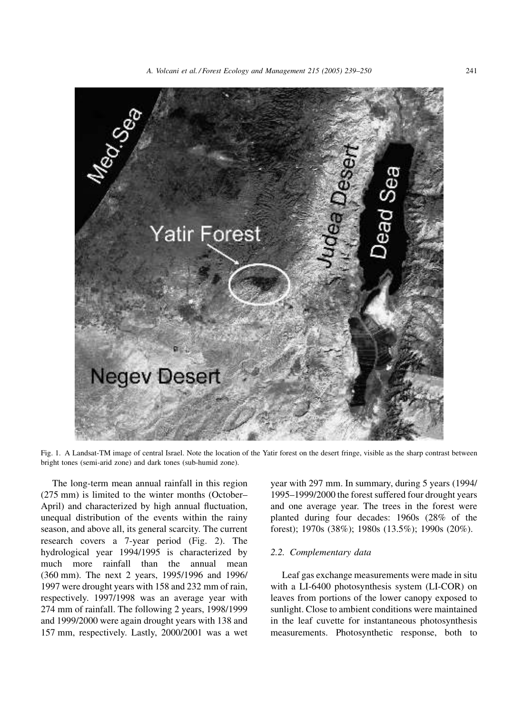

Fig. 1. A Landsat-TM image of central Israel. Note the location of the Yatir forest on the desert fringe, visible as the sharp contrast between bright tones (semi-arid zone) and dark tones (sub-humid zone).

The long-term mean annual rainfall in this region (275 mm) is limited to the winter months (October– April) and characterized by high annual fluctuation, unequal distribution of the events within the rainy season, and above all, its general scarcity. The current research covers a 7-year period (Fig. 2). The hydrological year 1994/1995 is characterized by much more rainfall than the annual mean (360 mm). The next 2 years, 1995/1996 and 1996/ 1997 were drought years with 158 and 232 mm of rain, respectively. 1997/1998 was an average year with 274 mm of rainfall. The following 2 years, 1998/1999 and 1999/2000 were again drought years with 138 and 157 mm, respectively. Lastly, 2000/2001 was a wet year with 297 mm. In summary, during 5 years (1994/ 1995–1999/2000 the forest suffered four drought years and one average year. The trees in the forest were planted during four decades: 1960s (28% of the forest); 1970s (38%); 1980s (13.5%); 1990s (20%).

#### *2.2. Complementary data*

Leaf gas exchange measurements were made in situ with a LI-6400 photosynthesis system (LI-COR) on leaves from portions of the lower canopy exposed to sunlight. Close to ambient conditions were maintained in the leaf cuvette for instantaneous photosynthesis measurements. Photosynthetic response, both to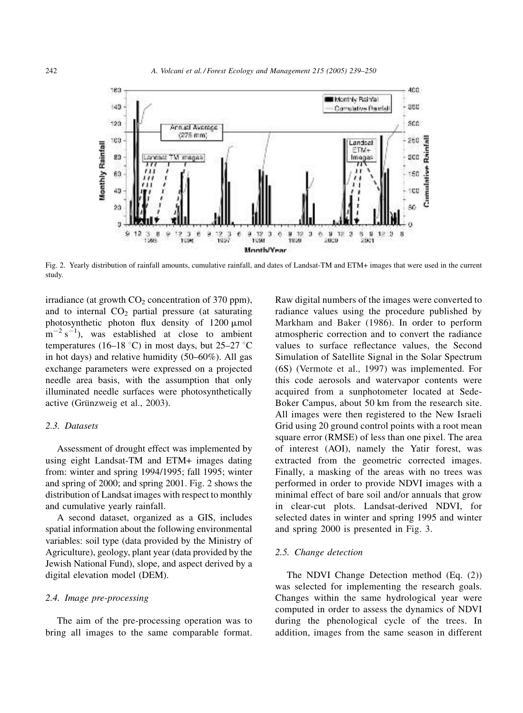

Fig. 2. Yearly distribution of rainfall amounts, cumulative rainfall, and dates of Landsat-TM and ETM+ images that were used in the current study.

irradiance (at growth  $CO<sub>2</sub>$  concentration of 370 ppm), and to internal  $CO<sub>2</sub>$  partial pressure (at saturating photosynthetic photon flux density of 1200 µmol  $\text{m}^{-2}$  s<sup>-1</sup>), was established at close to ambient temperatures (16–18 °C) in most days, but  $25-27$  °C in hot days) and relative humidity (50–60%). All gas exchange parameters were expressed on a projected needle area basis, with the assumption that only illuminated needle surfaces were photosynthetically active (Grünzweig et al., 2003).

# *2.3. Datasets*

Assessment of drought effect was implemented by using eight Landsat-TM and ETM+ images dating from: winter and spring 1994/1995; fall 1995; winter and spring of 2000; and spring 2001. Fig. 2 shows the distribution of Landsat images with respect to monthly and cumulative yearly rainfall.

A second dataset, organized as a GIS, includes spatial information about the following environmental variables: soil type (data provided by the Ministry of Agriculture), geology, plant year (data provided by the Jewish National Fund), slope, and aspect derived by a digital elevation model (DEM).

#### *2.4. Image pre-processing*

The aim of the pre-processing operation was to bring all images to the same comparable format. Raw digital numbers of the images were converted to radiance values using the procedure published by Markham and Baker (1986). In order to perform atmospheric correction and to convert the radiance values to surface reflectance values, the Second Simulation of Satellite Signal in the Solar Spectrum (6S) (Vermote et al., 1997) was implemented. For this code aerosols and watervapor contents were acquired from a sunphotometer located at Sede-Boker Campus, about 50 km from the research site. All images were then registered to the New Israeli Grid using 20 ground control points with a root mean square error (RMSE) of less than one pixel. The area of interest (AOI), namely the Yatir forest, was extracted from the geometric corrected images. Finally, a masking of the areas with no trees was performed in order to provide NDVI images with a minimal effect of bare soil and/or annuals that grow in clear-cut plots. Landsat-derived NDVI, for selected dates in winter and spring 1995 and winter and spring 2000 is presented in Fig. 3.

#### *2.5. Change detection*

The NDVI Change Detection method (Eq. (2)) was selected for implementing the research goals. Changes within the same hydrological year were computed in order to assess the dynamics of NDVI during the phenological cycle of the trees. In addition, images from the same season in different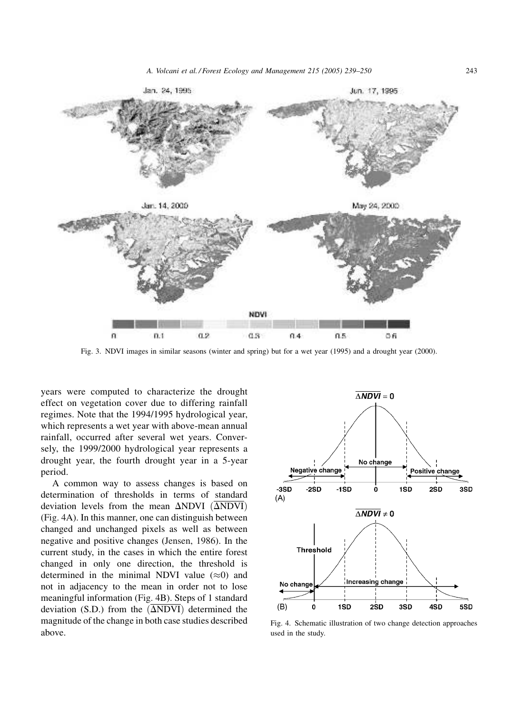

Fig. 3. NDVI images in similar seasons (winter and spring) but for a wet year (1995) and a drought year (2000).

years were computed to characterize the drought effect on vegetation cover due to differing rainfall regimes. Note that the 1994/1995 hydrological year, which represents a wet year with above-mean annual rainfall, occurred after several wet years. Conversely, the 1999/2000 hydrological year represents a drought year, the fourth drought year in a 5-year period.

A common way to assess changes is based on determination of thresholds in terms of standard deviation levels from the mean  $\Delta NDVI$  ( $\Delta NDVI$ ) (Fig. 4A). In this manner, one can distinguish between changed and unchanged pixels as well as between negative and positive changes (Jensen, 1986). In the current study, in the cases in which the entire forest changed in only one direction, the threshold is determined in the minimal NDVI value  $(\approx 0)$  and not in adjacency to the mean in order not to lose meaningful information (Fig. 4B). Steps of 1 standard deviation (S.D.) from the  $(\overline{\Delta \text{NDVI}})$  determined the magnitude of the change in both case studies described above.



Fig. 4. Schematic illustration of two change detection approaches used in the study.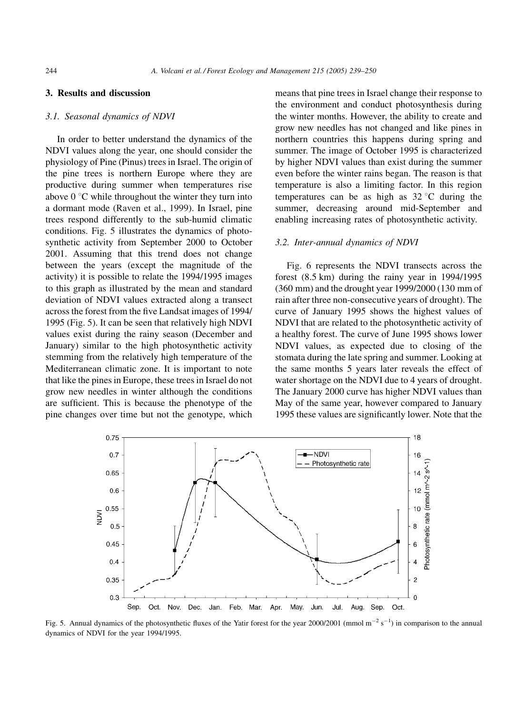# 3. Results and discussion

## *3.1. Seasonal dynamics of NDVI*

In order to better understand the dynamics of the NDVI values along the year, one should consider the physiology of Pine (Pinus) trees in Israel. The origin of the pine trees is northern Europe where they are productive during summer when temperatures rise above  $0^{\circ}$ C while throughout the winter they turn into a dormant mode (Raven et al., 1999). In Israel, pine trees respond differently to the sub-humid climatic conditions. Fig. 5 illustrates the dynamics of photosynthetic activity from September 2000 to October 2001. Assuming that this trend does not change between the years (except the magnitude of the activity) it is possible to relate the 1994/1995 images to this graph as illustrated by the mean and standard deviation of NDVI values extracted along a transect across the forest from the five Landsat images of 1994/ 1995 (Fig. 5). It can be seen that relatively high NDVI values exist during the rainy season (December and January) similar to the high photosynthetic activity stemming from the relatively high temperature of the Mediterranean climatic zone. It is important to note that like the pines in Europe, these trees in Israel do not grow new needles in winter although the conditions are sufficient. This is because the phenotype of the pine changes over time but not the genotype, which means that pine trees in Israel change their response to the environment and conduct photosynthesis during the winter months. However, the ability to create and grow new needles has not changed and like pines in northern countries this happens during spring and summer. The image of October 1995 is characterized by higher NDVI values than exist during the summer even before the winter rains began. The reason is that temperature is also a limiting factor. In this region temperatures can be as high as  $32^{\circ}$ C during the summer, decreasing around mid-September and enabling increasing rates of photosynthetic activity.

## *3.2. Inter-annual dynamics of NDVI*

Fig. 6 represents the NDVI transects across the forest (8.5 km) during the rainy year in 1994/1995 (360 mm) and the drought year 1999/2000 (130 mm of rain after three non-consecutive years of drought). The curve of January 1995 shows the highest values of NDVI that are related to the photosynthetic activity of a healthy forest. The curve of June 1995 shows lower NDVI values, as expected due to closing of the stomata during the late spring and summer. Looking at the same months 5 years later reveals the effect of water shortage on the NDVI due to 4 years of drought. The January 2000 curve has higher NDVI values than May of the same year, however compared to January 1995 these values are significantly lower. Note that the



Fig. 5. Annual dynamics of the photosynthetic fluxes of the Yatir forest for the year 2000/2001 (mmol  $m^{-2} s^{-1}$ ) in comparison to the annual dynamics of NDVI for the year 1994/1995.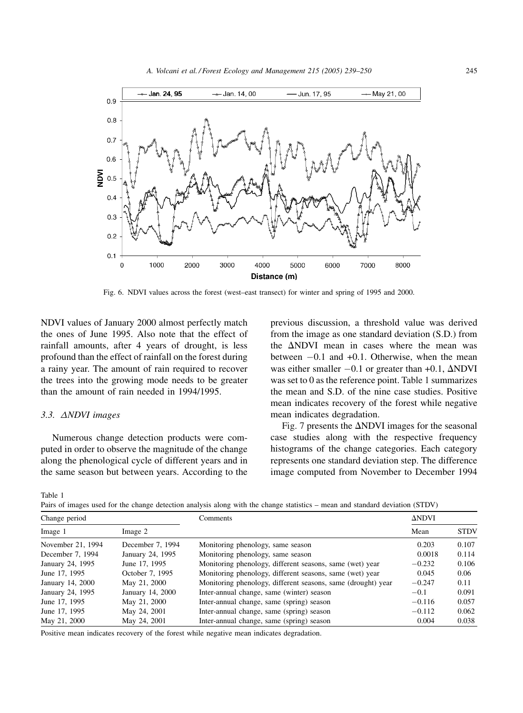

Fig. 6. NDVI values across the forest (west–east transect) for winter and spring of 1995 and 2000.

NDVI values of January 2000 almost perfectly match the ones of June 1995. Also note that the effect of rainfall amounts, after 4 years of drought, is less profound than the effect of rainfall on the forest during a rainy year. The amount of rain required to recover the trees into the growing mode needs to be greater than the amount of rain needed in 1994/1995.

## 3.3.  $\triangle NDVI$  images

Numerous change detection products were computed in order to observe the magnitude of the change along the phenological cycle of different years and in the same season but between years. According to the

previous discussion, a threshold value was derived from the image as one standard deviation (S.D.) from the  $\Delta$ NDVI mean in cases where the mean was between -0.1 and +0.1. Otherwise, when the mean was either smaller  $-0.1$  or greater than  $+0.1$ ,  $\Delta$ NDVI was set to 0 as the reference point. Table 1 summarizes the mean and S.D. of the nine case studies. Positive mean indicates recovery of the forest while negative mean indicates degradation.

Fig. 7 presents the  $\Delta$ NDVI images for the seasonal case studies along with the respective frequency histograms of the change categories. Each category represents one standard deviation step. The difference image computed from November to December 1994

Table 1

Pairs of images used for the change detection analysis along with the change statistics – mean and standard deviation (STDV)

| Change period     |                  | Comments                                                     | <b>ANDVI</b> |                      |  |
|-------------------|------------------|--------------------------------------------------------------|--------------|----------------------|--|
| Image 1           | Image 2          |                                                              | Mean         | <b>STDV</b><br>0.107 |  |
| November 21, 1994 | December 7, 1994 | Monitoring phenology, same season                            | 0.203        |                      |  |
| December 7, 1994  | January 24, 1995 | Monitoring phenology, same season                            | 0.0018       | 0.114                |  |
| January 24, 1995  | June 17, 1995    | Monitoring phenology, different seasons, same (wet) year     | $-0.232$     | 0.106                |  |
| June 17, 1995     | October 7, 1995  | Monitoring phenology, different seasons, same (wet) year     | 0.045        | 0.06                 |  |
| January 14, 2000  | May 21, 2000     | Monitoring phenology, different seasons, same (drought) year | $-0.247$     | 0.11                 |  |
| January 24, 1995  | January 14, 2000 | Inter-annual change, same (winter) season                    | $-0.1$       | 0.091                |  |
| June 17, 1995     | May 21, 2000     | Inter-annual change, same (spring) season                    | $-0.116$     | 0.057                |  |
| June 17, 1995     | May 24, 2001     | Inter-annual change, same (spring) season                    | $-0.112$     | 0.062                |  |
| May 21, 2000      | May 24, 2001     | Inter-annual change, same (spring) season                    | 0.004        | 0.038                |  |

Positive mean indicates recovery of the forest while negative mean indicates degradation.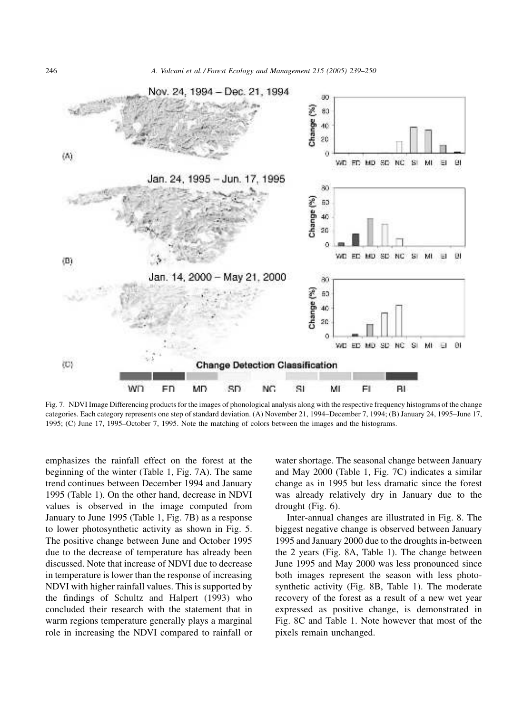

Fig. 7. NDVI Image Differencing products for the images of phonological analysis along with the respective frequency histograms of the change categories. Each category represents one step of standard deviation. (A) November 21, 1994–December 7, 1994; (B) January 24, 1995–June 17, 1995; (C) June 17, 1995–October 7, 1995. Note the matching of colors between the images and the histograms.

emphasizes the rainfall effect on the forest at the beginning of the winter (Table 1, Fig. 7A). The same trend continues between December 1994 and January 1995 (Table 1). On the other hand, decrease in NDVI values is observed in the image computed from January to June 1995 (Table 1, Fig. 7B) as a response to lower photosynthetic activity as shown in Fig. 5. The positive change between June and October 1995 due to the decrease of temperature has already been discussed. Note that increase of NDVI due to decrease in temperature is lower than the response of increasing NDVI with higher rainfall values. This is supported by the findings of Schultz and Halpert (1993) who concluded their research with the statement that in warm regions temperature generally plays a marginal role in increasing the NDVI compared to rainfall or water shortage. The seasonal change between January and May 2000 (Table 1, Fig. 7C) indicates a similar change as in 1995 but less dramatic since the forest was already relatively dry in January due to the drought (Fig. 6).

Inter-annual changes are illustrated in Fig. 8. The biggest negative change is observed between January 1995 and January 2000 due to the droughts in-between the 2 years (Fig. 8A, Table 1). The change between June 1995 and May 2000 was less pronounced since both images represent the season with less photosynthetic activity (Fig. 8B, Table 1). The moderate recovery of the forest as a result of a new wet year expressed as positive change, is demonstrated in Fig. 8C and Table 1. Note however that most of the pixels remain unchanged.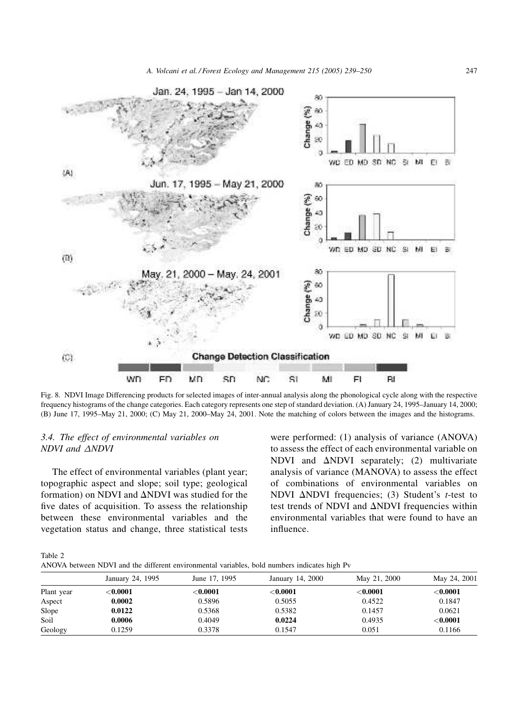

Fig. 8. NDVI Image Differencing products for selected images of inter-annual analysis along the phonological cycle along with the respective frequency histograms of the change categories. Each category represents one step of standard deviation. (A) January 24, 1995–January 14, 2000; (B) June 17, 1995–May 21, 2000; (C) May 21, 2000–May 24, 2001. Note the matching of colors between the images and the histograms.

# *3.4. The effect of environmental variables on NDVI* and  $\triangle NDVI$

The effect of environmental variables (plant year; topographic aspect and slope; soil type; geological formation) on NDVI and  $\Delta$ NDVI was studied for the five dates of acquisition. To assess the relationship between these environmental variables and the vegetation status and change, three statistical tests were performed: (1) analysis of variance (ANOVA) to assess the effect of each environmental variable on NDVI and  $\Delta N$ DVI separately; (2) multivariate analysis of variance (MANOVA) to assess the effect of combinations of environmental variables on NDVI  $\Delta$ NDVI frequencies; (3) Student's *t*-test to test trends of NDVI and  $\Delta$ NDVI frequencies within environmental variables that were found to have an influence.

Table 2

ANOVA between NDVI and the different environmental variables, bold numbers indicates high Pv

|            | January 24, 1995 | June 17, 1995 | January 14, 2000 | May 21, 2000 | May 24, 2001 |  |  |  |
|------------|------------------|---------------|------------------|--------------|--------------|--|--|--|
| Plant year | $<$ $0.0001$     | ${<}0.0001$   | ${<}0.0001$      | ${<}0.0001$  | ${<}0.0001$  |  |  |  |
| Aspect     | 0.0002           | 0.5896        | 0.5055           | 0.4522       | 0.1847       |  |  |  |
| Slope      | 0.0122           | 0.5368        | 0.5382           | 0.1457       | 0.0621       |  |  |  |
| Soil       | 0.0006           | 0.4049        | 0.0224           | 0.4935       | ${<}0.0001$  |  |  |  |
| Geology    | 0.1259           | 0.3378        | 0.1547           | 0.051        | 0.1166       |  |  |  |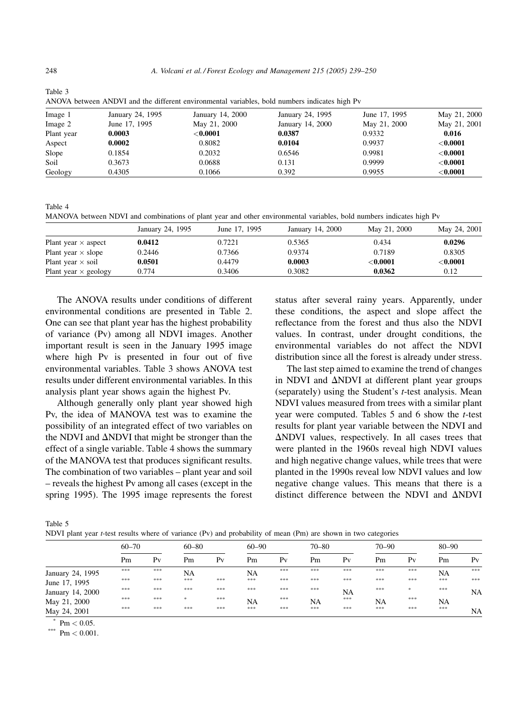|            |                  | ARO VA DUNCEN ARD VT and the unferent environmental variables, bold numbers multates high I v |                  |               |              |
|------------|------------------|-----------------------------------------------------------------------------------------------|------------------|---------------|--------------|
| Image 1    | January 24, 1995 | January 14, 2000                                                                              | January 24, 1995 | June 17, 1995 | May 21, 2000 |
| Image 2    | June 17, 1995    | May 21, 2000                                                                                  | January 14, 2000 | May 21, 2000  | May 21, 2001 |
| Plant year | 0.0003           | ${<}0.0001$                                                                                   | 0.0387           | 0.9332        | 0.016        |
| Aspect     | 0.0002           | 0.8082                                                                                        | 0.0104           | 0.9937        | ${<}0.0001$  |
| Slope      | 0.1854           | 0.2032                                                                                        | 0.6546           | 0.9981        | ${<}0.0001$  |
| Soil       | 0.3673           | 0.0688                                                                                        | 0.131            | 0.9999        | ${<}0.0001$  |
| Geology    | 0.4305           | 0.1066                                                                                        | 0.392            | 0.9955        | ${<}0.0001$  |

Table 3 ANOVA between ANDVI and the different environmental variables, bold numbers indicates high Pv

Table 4

MANOVA between NDVI and combinations of plant year and other environmental variables, bold numbers indicates high Pv

|                             | January 24, 1995 | June 17, 1995 | January 14, 2000 | May 21, 2000 | May 24, 2001 |
|-----------------------------|------------------|---------------|------------------|--------------|--------------|
| Plant year $\times$ aspect  | 0.0412           | 0.7221        | 0.5365           | 0.434        | 0.0296       |
| Plant year $\times$ slope   | 0.2446           | 0.7366        | 0.9374           | 0.7189       | 0.8305       |
| Plant year $\times$ soil    | 0.0501           | 0.4479        | 0.0003           | $<$ $0.0001$ | $<$ $0.0001$ |
| Plant year $\times$ geology | 0.774            | 0.3406        | 0.3082           | 0.0362       | 0.12         |

The ANOVA results under conditions of different environmental conditions are presented in Table 2. One can see that plant year has the highest probability of variance (Pv) among all NDVI images. Another important result is seen in the January 1995 image where high Pv is presented in four out of five environmental variables. Table 3 shows ANOVA test results under different environmental variables. In this analysis plant year shows again the highest Pv.

Although generally only plant year showed high Pv, the idea of MANOVA test was to examine the possibility of an integrated effect of two variables on the NDVI and  $\Delta$ NDVI that might be stronger than the effect of a single variable. Table 4 shows the summary of the MANOVA test that produces significant results. The combination of two variables – plant year and soil – reveals the highest Pv among all cases (except in the spring 1995). The 1995 image represents the forest status after several rainy years. Apparently, under these conditions, the aspect and slope affect the reflectance from the forest and thus also the NDVI values. In contrast, under drought conditions, the environmental variables do not affect the NDVI distribution since all the forest is already under stress.

The last step aimed to examine the trend of changes in NDVI and  $\Delta$ NDVI at different plant year groups (separately) using the Student's *t*-test analysis. Mean NDVI values measured from trees with a similar plant year were computed. Tables 5 and 6 show the *t*-test results for plant year variable between the NDVI and  $\Delta$ NDVI values, respectively. In all cases trees that were planted in the 1960s reveal high NDVI values and high negative change values, while trees that were planted in the 1990s reveal low NDVI values and low negative change values. This means that there is a distinct difference between the NDVI and  $\Delta$ NDVI

Table 5

NDVI plant year *t*-test results where of variance (Pv) and probability of mean (Pm) are shown in two categories

|                  | $60 - 70$ |                | $60 - 80$     |                | $60 - 90$ |                | $70 - 80$ |                | $70 - 90$ |               | $80 - 90$ |           |
|------------------|-----------|----------------|---------------|----------------|-----------|----------------|-----------|----------------|-----------|---------------|-----------|-----------|
|                  | Pm        | P <sub>V</sub> | Pm            | P <sub>V</sub> | Pm        | P <sub>V</sub> | Pm        | P <sub>V</sub> | Pm        | $P_V$         | Pm        | $P_V$     |
| January 24, 1995 | ***       | ***            | NA            |                | NA        | ***            | ***       | ***            | ***       | ***           | NA        | ***       |
| June 17, 1995    | ***       | ***            | ***           | ***            | ***       | ***            | ***       | ***            | ***       | ***           | ***       | $* * *$   |
| January 14, 2000 | ***       | ***            | ***           | ***            | ***       | ***            | ***       | NA             | ***       | $\frac{1}{2}$ | ***       | NA        |
| May 21, 2000     | ***       | ***            | $\frac{1}{2}$ | ***            | NA        | ***            | NA        | ***            | <b>NA</b> | ***           | NA        |           |
| May 24, 2001     | ***       | ***            | ***           | ***            | ***       | ***            | ***       | ***            | ***       | ***           | ***       | <b>NA</b> |

\*  $Pm < 0.05$ 

\*\*\* Pm  $< 0.001$ .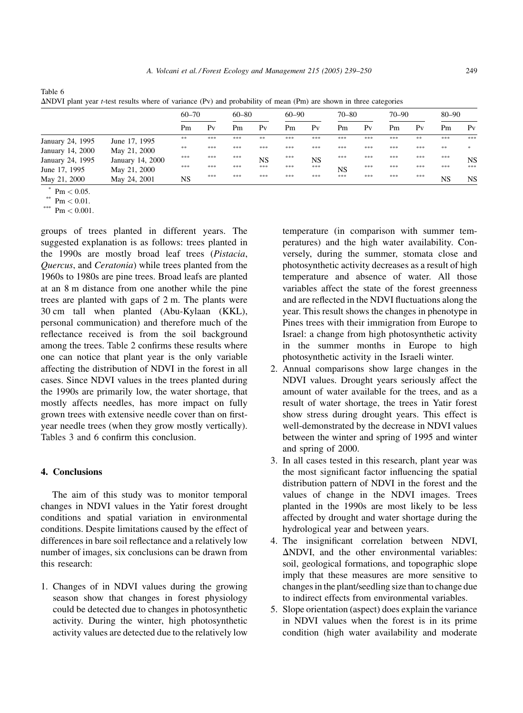|                  |                  | $60 - 70$ |                | $60 - 80$ |                | $60 - 90$ |                | $70 - 80$ |                | $70 - 90$ |                | $80 - 90$ |                |
|------------------|------------------|-----------|----------------|-----------|----------------|-----------|----------------|-----------|----------------|-----------|----------------|-----------|----------------|
|                  |                  | Pm        | P <sub>V</sub> | Pm        | P <sub>V</sub> | Pm        | P <sub>V</sub> | Pm        | P <sub>V</sub> | Pm        | P <sub>V</sub> | Pm        | P <sub>V</sub> |
| January 24, 1995 | June 17, 1995    | $* *$     | ***            | ***       | **             | ***       | ***            | ***       | ***            | ***       | **             | ***       | ***            |
| January 14, 2000 | May 21, 2000     | $* *$     | ***            | ***       | ***            | ***       | ***            | ***       | ***            | ***       | ***            | **        | *              |
| January 24, 1995 | January 14, 2000 | ***       | ***            | ***       | NS             | ***       | NS             | ***       | ***            | ***       | ***            | ***       | <b>NS</b>      |
| June 17, 1995    | May 21, 2000     | ***       | ***            | ***       | ***            | ***       | ***            | <b>NS</b> | ***            | ***       | ***            | ***       | ***            |
| May 21, 2000     | May 24, 2001     | NS        | ***            | ***       | ***            | ***       | ***            | $* * *$   | ***            | ***       | ***            | <b>NS</b> | <b>NS</b>      |

Table 6 DNDVI plant year *t*-test results where of variance (Pv) and probability of mean (Pm) are shown in three categories

 $*$  Pm  $< 0.05$ .

 $Pm < 0.01$ .

\*\*\*  $\text{Pm} < 0.001$ .

groups of trees planted in different years. The suggested explanation is as follows: trees planted in the 1990s are mostly broad leaf trees (*Pistacia*, *Quercus*, and *Ceratonia*) while trees planted from the 1960s to 1980s are pine trees. Broad leafs are planted at an 8 m distance from one another while the pine trees are planted with gaps of 2 m. The plants were 30 cm tall when planted (Abu-Kylaan (KKL), personal communication) and therefore much of the reflectance received is from the soil background among the trees. Table 2 confirms these results where one can notice that plant year is the only variable affecting the distribution of NDVI in the forest in all cases. Since NDVI values in the trees planted during the 1990s are primarily low, the water shortage, that mostly affects needles, has more impact on fully grown trees with extensive needle cover than on firstyear needle trees (when they grow mostly vertically). Tables 3 and 6 confirm this conclusion.

# 4. Conclusions

The aim of this study was to monitor temporal changes in NDVI values in the Yatir forest drought conditions and spatial variation in environmental conditions. Despite limitations caused by the effect of differences in bare soil reflectance and a relatively low number of images, six conclusions can be drawn from this research:

1. Changes of in NDVI values during the growing season show that changes in forest physiology could be detected due to changes in photosynthetic activity. During the winter, high photosynthetic activity values are detected due to the relatively low temperature (in comparison with summer temperatures) and the high water availability. Conversely, during the summer, stomata close and photosynthetic activity decreases as a result of high temperature and absence of water. All those variables affect the state of the forest greenness and are reflected in the NDVI fluctuations along the year. This result shows the changes in phenotype in Pines trees with their immigration from Europe to Israel: a change from high photosynthetic activity in the summer months in Europe to high photosynthetic activity in the Israeli winter.

- 2. Annual comparisons show large changes in the NDVI values. Drought years seriously affect the amount of water available for the trees, and as a result of water shortage, the trees in Yatir forest show stress during drought years. This effect is well-demonstrated by the decrease in NDVI values between the winter and spring of 1995 and winter and spring of 2000.
- 3. In all cases tested in this research, plant year was the most significant factor influencing the spatial distribution pattern of NDVI in the forest and the values of change in the NDVI images. Trees planted in the 1990s are most likely to be less affected by drought and water shortage during the hydrological year and between years.
- 4. The insignificant correlation between NDVI,  $\Delta$ NDVI, and the other environmental variables: soil, geological formations, and topographic slope imply that these measures are more sensitive to changes in the plant/seedling size than to change due to indirect effects from environmental variables.
- 5. Slope orientation (aspect) does explain the variance in NDVI values when the forest is in its prime condition (high water availability and moderate